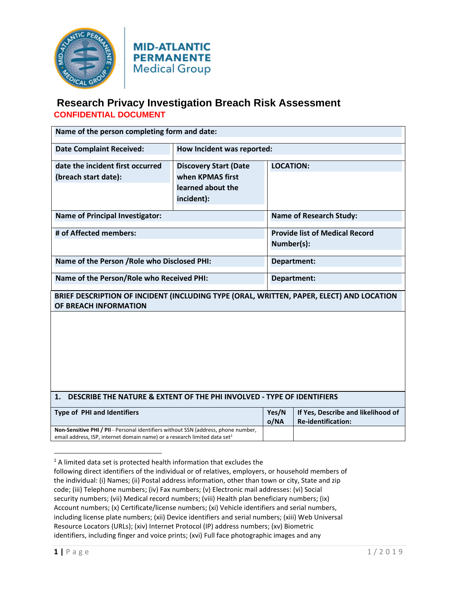

**MID-ATLANTIC PERMANENTE Medical Group** 

| Name of the person completing form and date:                                                                                                                                |                                                                                     |                                                     |                                                                 |  |
|-----------------------------------------------------------------------------------------------------------------------------------------------------------------------------|-------------------------------------------------------------------------------------|-----------------------------------------------------|-----------------------------------------------------------------|--|
| <b>Date Complaint Received:</b>                                                                                                                                             | How Incident was reported:                                                          |                                                     |                                                                 |  |
| date the incident first occurred<br>(breach start date):                                                                                                                    | <b>Discovery Start (Date</b><br>when KPMAS first<br>learned about the<br>incident): | <b>LOCATION:</b>                                    |                                                                 |  |
| <b>Name of Principal Investigator:</b>                                                                                                                                      |                                                                                     | <b>Name of Research Study:</b>                      |                                                                 |  |
| # of Affected members:                                                                                                                                                      |                                                                                     | <b>Provide list of Medical Record</b><br>Number(s): |                                                                 |  |
| Name of the Person / Role who Disclosed PHI:                                                                                                                                |                                                                                     | Department:                                         |                                                                 |  |
| Name of the Person/Role who Received PHI:                                                                                                                                   |                                                                                     | Department:                                         |                                                                 |  |
| BRIEF DESCRIPTION OF INCIDENT (INCLUDING TYPE (ORAL, WRITTEN, PAPER, ELECT) AND LOCATION<br>OF BREACH INFORMATION                                                           |                                                                                     |                                                     |                                                                 |  |
|                                                                                                                                                                             |                                                                                     |                                                     |                                                                 |  |
| DESCRIBE THE NATURE & EXTENT OF THE PHI INVOLVED - TYPE OF IDENTIFIERS<br>1.                                                                                                |                                                                                     |                                                     |                                                                 |  |
| <b>Type of PHI and Identifiers</b>                                                                                                                                          |                                                                                     | Yes/N<br>o/NA                                       | If Yes, Describe and likelihood of<br><b>Re-identification:</b> |  |
| Non-Sensitive PHI / PII - Personal identifiers without SSN (address, phone number,<br>email address, ISP, internet domain name) or a research limited data set <sup>1</sup> |                                                                                     |                                                     |                                                                 |  |

 $1$  A limited data set is protected health information that excludes the following direct identifiers of the individual or of relatives, employers, or household members of the individual: (i) Names; (ii) Postal address information, other than town or city, State and zip code; (iii) Telephone numbers; (iv) Fax numbers; (v) Electronic mail addresses: (vi) Social security numbers; (vii) Medical record numbers; (viii) Health plan beneficiary numbers; (ix) Account numbers; (x) Certificate/license numbers; (xi) Vehicle identifiers and serial numbers, including license plate numbers; (xii) Device identifiers and serial numbers; (xiii) Web Universal Resource Locators (URLs); (xiv) Internet Protocol (IP) address numbers; (xv) Biometric

identifiers, including finger and voice prints; (xvi) Full face photographic images and any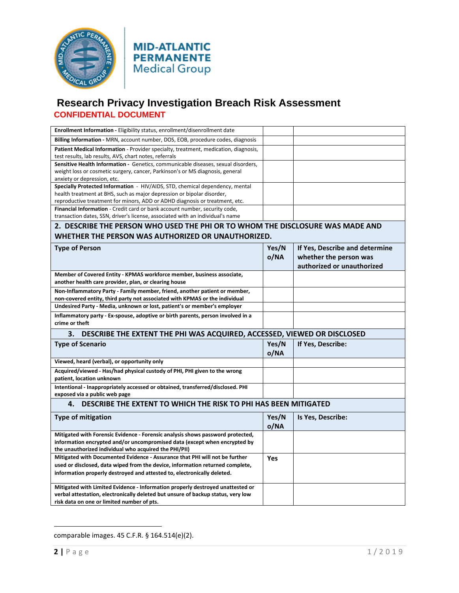



| Enrollment Information - Eligibility status, enrollment/disenrollment date                                                      |       |                                |  |  |
|---------------------------------------------------------------------------------------------------------------------------------|-------|--------------------------------|--|--|
| Billing Information - MRN, account number, DOS, EOB, procedure codes, diagnosis                                                 |       |                                |  |  |
| Patient Medical Information - Provider specialty, treatment, medication, diagnosis,                                             |       |                                |  |  |
| test results, lab results, AVS, chart notes, referrals                                                                          |       |                                |  |  |
| Sensitive Health Information - Genetics, communicable diseases, sexual disorders,                                               |       |                                |  |  |
| weight loss or cosmetic surgery, cancer, Parkinson's or MS diagnosis, general                                                   |       |                                |  |  |
| anxiety or depression, etc.                                                                                                     |       |                                |  |  |
| Specially Protected Information - HIV/AIDS, STD, chemical dependency, mental                                                    |       |                                |  |  |
| health treatment at BHS, such as major depression or bipolar disorder,                                                          |       |                                |  |  |
| reproductive treatment for minors, ADD or ADHD diagnosis or treatment, etc.                                                     |       |                                |  |  |
| Financial Information - Credit card or bank account number, security code,                                                      |       |                                |  |  |
| transaction dates, SSN, driver's license, associated with an individual's name                                                  |       |                                |  |  |
| 2. DESCRIBE THE PERSON WHO USED THE PHI OR TO WHOM THE DISCLOSURE WAS MADE AND                                                  |       |                                |  |  |
| WHETHER THE PERSON WAS AUTHORIZED OR UNAUTHORIZED.                                                                              |       |                                |  |  |
| <b>Type of Person</b>                                                                                                           | Yes/N | If Yes, Describe and determine |  |  |
|                                                                                                                                 | o/NA  | whether the person was         |  |  |
|                                                                                                                                 |       | authorized or unauthorized     |  |  |
|                                                                                                                                 |       |                                |  |  |
| Member of Covered Entity - KPMAS workforce member, business associate,<br>another health care provider, plan, or clearing house |       |                                |  |  |
| Non-Inflammatory Party - Family member, friend, another patient or member,                                                      |       |                                |  |  |
| non-covered entity, third party not associated with KPMAS or the individual                                                     |       |                                |  |  |
| Undesired Party - Media, unknown or lost, patient's or member's employer                                                        |       |                                |  |  |
| Inflammatory party - Ex-spouse, adoptive or birth parents, person involved in a                                                 |       |                                |  |  |
| crime or theft                                                                                                                  |       |                                |  |  |
| DESCRIBE THE EXTENT THE PHI WAS ACQUIRED, ACCESSED, VIEWED OR DISCLOSED<br>3.                                                   |       |                                |  |  |
| <b>Type of Scenario</b>                                                                                                         | Yes/N | If Yes, Describe:              |  |  |
|                                                                                                                                 |       |                                |  |  |
|                                                                                                                                 | o/NA  |                                |  |  |
| Viewed, heard (verbal), or opportunity only                                                                                     |       |                                |  |  |
| Acquired/viewed - Has/had physical custody of PHI, PHI given to the wrong                                                       |       |                                |  |  |
| patient, location unknown                                                                                                       |       |                                |  |  |
| Intentional - Inappropriately accessed or obtained, transferred/disclosed. PHI                                                  |       |                                |  |  |
| exposed via a public web page                                                                                                   |       |                                |  |  |
| DESCRIBE THE EXTENT TO WHICH THE RISK TO PHI HAS BEEN MITIGATED<br>4.                                                           |       |                                |  |  |
| <b>Type of mitigation</b>                                                                                                       | Yes/N | Is Yes, Describe:              |  |  |
|                                                                                                                                 | o/NA  |                                |  |  |
|                                                                                                                                 |       |                                |  |  |
| Mitigated with Forensic Evidence - Forensic analysis shows password protected,                                                  |       |                                |  |  |
| information encrypted and/or uncompromised data (except when encrypted by                                                       |       |                                |  |  |
| the unauthorized individual who acquired the PHI/PII)                                                                           |       |                                |  |  |
| Mitigated with Documented Evidence - Assurance that PHI will not be further                                                     | Yes   |                                |  |  |
| used or disclosed, data wiped from the device, information returned complete,                                                   |       |                                |  |  |
| information properly destroyed and attested to, electronically deleted.                                                         |       |                                |  |  |
| Mitigated with Limited Evidence - Information properly destroyed unattested or                                                  |       |                                |  |  |
| verbal attestation, electronically deleted but unsure of backup status, very low                                                |       |                                |  |  |
| risk data on one or limited number of pts.                                                                                      |       |                                |  |  |
|                                                                                                                                 |       |                                |  |  |

comparable images. 45 C.F.R. § 164.514(e)(2).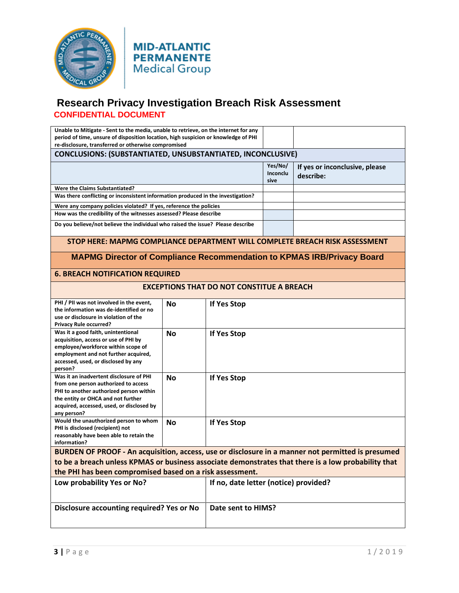

**MID-ATLANTIC PERMANENTE** Medical Group

| Unable to Mitigate - Sent to the media, unable to retrieve, on the internet for any<br>period of time, unsure of disposition location, high suspicion or knowledge of PHI                                                                                            |           |                                       |                             |                                             |  |
|----------------------------------------------------------------------------------------------------------------------------------------------------------------------------------------------------------------------------------------------------------------------|-----------|---------------------------------------|-----------------------------|---------------------------------------------|--|
| re-disclosure, transferred or otherwise compromised                                                                                                                                                                                                                  |           |                                       |                             |                                             |  |
| CONCLUSIONS: (SUBSTANTIATED, UNSUBSTANTIATED, INCONCLUSIVE)                                                                                                                                                                                                          |           |                                       |                             |                                             |  |
|                                                                                                                                                                                                                                                                      |           |                                       | Yes/No/<br>Inconclu<br>sive | If yes or inconclusive, please<br>describe: |  |
| Were the Claims Substantiated?                                                                                                                                                                                                                                       |           |                                       |                             |                                             |  |
| Was there conflicting or inconsistent information produced in the investigation?                                                                                                                                                                                     |           |                                       |                             |                                             |  |
| Were any company policies violated? If yes, reference the policies                                                                                                                                                                                                   |           |                                       |                             |                                             |  |
| How was the credibility of the witnesses assessed? Please describe                                                                                                                                                                                                   |           |                                       |                             |                                             |  |
| Do you believe/not believe the individual who raised the issue? Please describe                                                                                                                                                                                      |           |                                       |                             |                                             |  |
| STOP HERE: MAPMG COMPLIANCE DEPARTMENT WILL COMPLETE BREACH RISK ASSESSMENT                                                                                                                                                                                          |           |                                       |                             |                                             |  |
| <b>MAPMG Director of Compliance Recommendation to KPMAS IRB/Privacy Board</b>                                                                                                                                                                                        |           |                                       |                             |                                             |  |
| <b>6. BREACH NOTIFICATION REQUIRED</b>                                                                                                                                                                                                                               |           |                                       |                             |                                             |  |
| <b>EXCEPTIONS THAT DO NOT CONSTITUE A BREACH</b>                                                                                                                                                                                                                     |           |                                       |                             |                                             |  |
| PHI / PII was not involved in the event,<br>the information was de-identified or no<br>use or disclosure in violation of the<br><b>Privacy Rule occurred?</b>                                                                                                        | No        | If Yes Stop                           |                             |                                             |  |
| Was it a good faith, unintentional<br>acquisition, access or use of PHI by<br>employee/workforce within scope of<br>employment and not further acquired,<br>accessed, used, or disclosed by any<br>person?                                                           | <b>No</b> | If Yes Stop                           |                             |                                             |  |
| Was it an inadvertent disclosure of PHI<br>from one person authorized to access<br>PHI to another authorized person within<br>the entity or OHCA and not further<br>acquired, accessed, used, or disclosed by<br>any person?                                         | No        | If Yes Stop                           |                             |                                             |  |
| Would the unauthorized person to whom<br>PHI is disclosed (recipient) not<br>reasonably have been able to retain the<br>information?                                                                                                                                 | <b>No</b> | If Yes Stop                           |                             |                                             |  |
| BURDEN OF PROOF - An acquisition, access, use or disclosure in a manner not permitted is presumed<br>to be a breach unless KPMAS or business associate demonstrates that there is a low probability that<br>the PHI has been compromised based on a risk assessment. |           |                                       |                             |                                             |  |
| Low probability Yes or No?                                                                                                                                                                                                                                           |           | If no, date letter (notice) provided? |                             |                                             |  |
| <b>Disclosure accounting required? Yes or No</b>                                                                                                                                                                                                                     |           | Date sent to HIMS?                    |                             |                                             |  |